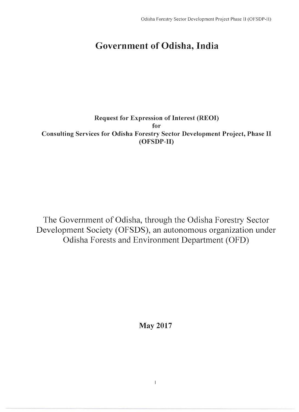# **Government of Odisha, India**

### Request for Expression of Interest (REOI) for Consulting Services for Odisha Forestry Sector Development Project, Phase II (OFSDP-II)

The Government of Odisha, through the Odisha Forestry Sector Development Society (OFSDS), an autonomous organization under Odisha Forests and Environment Department (OFD)

May **2017** 

 $\overline{1}$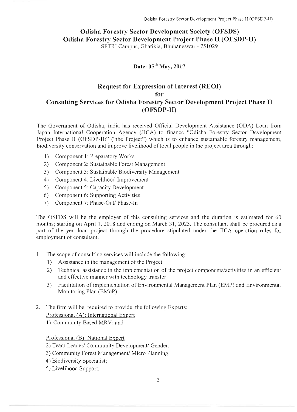## **Odisha Forestry Sector Development Society (OFSDS) Odisha Forestry Sector Development Project Phase II (OFSDP-II)**

SFTRI Campus, Ghatikia, Bhubaneswar - 751029

### **Date: 05 1h** May, **2017**

#### **Request for Expression of Interest (REOI) for Consulting Services for Odisha Forestry Sector Development Project Phase II (OFSDP-II)**

The Government of Odisha, India has received Official Development Assistance (ODA) Loan from Japan International Cooperation Agency (JICA) to finance "Odisha Forestry Sector Development Project Phase II (OFSDP-II)" ("the Project") which is to enhance sustainable forestry management, biodiversity conservation and improve livelihood of local people in the project area through:

- 1) Component 1: Preparatory Works
- 2) Component 2: Sustainable Forest Management
- 3) Component 3: Sustainable Biodiversity Management
- 4) Component 4: Livelihood Improvement
- 5) Component 5: Capacity Development
- 6) Component 6: Supporting Activities
- 7) Component 7: Phase-Out/ Phase-In

The OSFDS will be the employer of this consulting services and the duration is estimated for 60 months; starting on April 1, 2018 and ending on March 31, 2023. The consultant shall be procured as a part of the yen loan project through the procedure stipulated under the JICA operation rules for employment of consultant.

- 1. The scope of consulting services will include the following:
	- 1) Assistance in the management of the Project
	- 2) Technical assistance in the implementation of the project components/activities in an efficient and effective manner with technology transfer
	- 3) Facilitation of implementation of Environmental Management Plan (EMP) and Environmental Monitoring Plan (EMoP)
- 2. The firm will be required to provide the following Experts: Professional (A): International Expert
	- 1) Community Based MRV; and

Professional (B): National Expert

- 2) Team Leader/ Community Development/ Gender;
- 3) Community Forest Management/ Micro Planning;
- 4) Biodiversity Specialist;
- 5) Livelihood Support;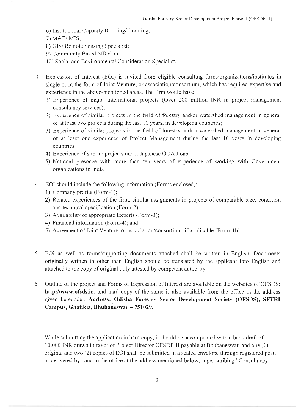- 6) Institutional Capacity Building/ Training;
- 7) M&E/ MIS;
- 8) GIS/ Remote Sensing Specialist;
- 9) Community Based MRV; and
- 10) Social and Environmental Consideration Specialist.
- 3. Expression of Interest (EOI) is invited from eligible consulting firms/organizations/institutes In single or in the form of Joint Venture, or association/consortium, which has required expertise and experience in the above-mentioned areas. The firm would have:
	- 1) Experience of major international projects (Over 200 million INR in project management consultancy services);
	- 2) Experience of similar projects in the field of forestry and/or watershed management in general of at least two projects during the last 10 years, in developing countries;
	- 3) Experience of similar projects in the field of forestry and/or watershed management in general of at least one experience of Project Management during the last 10 years in developing countries
	- 4) Experience of similar projects under Japanese ODA Loan
	- 5) National presence with more than ten years of experience of working with Government organizations in India
- 4. EOI should include the following information (Forms enclosed):
	- 1) Company profile (Form-I); .
	- 2) Related experiences of the firm, similar assignments in projects of comparable size, condition and technical specification (Form-2);
	- 3) Availability of appropriate Experts (Form-3);
	- 4) Financial information (Form-4); and
	- 5) Agreement of Joint Venture, or association/consortium, if applicable (Form-1 b)
- 5. EOI as well as forms/supporting documents attached shall be written in English. Documents originally written in other than English should be translated by the applicant into English and attached to the copy of original duly attested by competent authority.
- 6. Outline of the project and Forms of Expression of Interest are available on the websites of OFSDS: http://www.ofsds.in, and hard copy of the same is also available from the office in the address given hereunder. Address: Odisha Forestry Sector Development Society (OFSDS), SFTRI Campus, Ghatikia, Bhubaneswar - 751029.

While submitting the application in hard copy, it should be accompanied with a bank draft of 10,000 INR drawn in favor of Project Director OFSDP-II payable at Bhubaneswar, and one (l) original and two (2) copies of EOI shall be submitted in a sealed envelope through registered post, or delivered by hand in the office at the address mentioned below, super scribing "Consultancy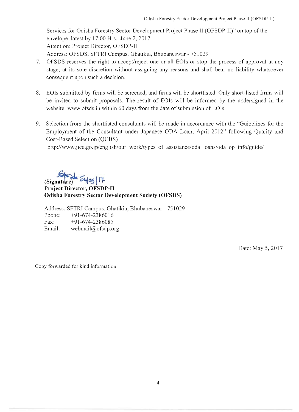Services for Odisha Forestry Sector Development Project Phase II (OFSDP-II)" on top of the envelope latest by 17:00 Hrs., June 2, 2017: Attention: Project Director, OFSDP-II Address: OFSDS, SFTRI Campus, Ghatikia, Bhubaneswar - 751029

- 7. OFSDS reserves the right to accept/reject one or all EOIs or stop the process of approval at any stage, at its sole discretion without assigning any reasons and shall bear no liability whatsoever consequent upon such a decision.
- 8. EOIs submitted by firms will be screened, and firms will be shortlisted. Only short-listed firms will be invited to submit proposals. The result of EOIs will be informed by the undersigned in the website: www.ofsds.in within 60 days from the date of submission of EOIs.
- 9. Selection from the shortlisted consultants will be made in accordance with the "Guidelines for the Employment of the Consultant under Japanese ODA Loan, April 2012" following Quality and Cost-Based Selection (QCBS)

http://www.jica.go.jp/english/our work/types of assistance/oda loans/oda op info/guide/

 $(Signature)$ <sup>04</sup><sup>05</sup>

**Project Director, OFSDP-II Odisha Forestry Sector Development Society (OFSDS)** 

Address: SFTRl Campus, Ghatikia, Bhubaneswar - 751029 Phone: +91-674-2386016 Fax: +91-674-2386085 Email: webmail@ofsdp.org

Date: May 5, 2017

Copy forwarded for kind information: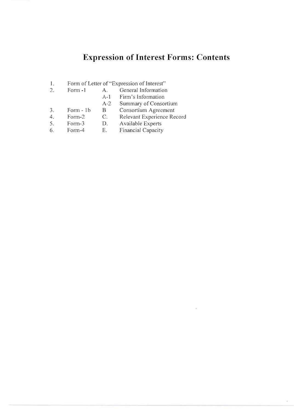# **Expression of Interest Forms: Contents**

ÿ

- 1. Form of Letter of "Expression of Interest"
- 2. Form -1 A. General Information<br>A-1 Firm's Information
	- A-1 Firm's Information<br>A-2 Summary of Consor
	- **Summary of Consortium**
	-
- 3. Form 1b B Consortium Agreement<br>4. Form 2 C. Relevant Experience Re 4. Form-2 C. Relevant Experience Record<br>5. Form-3 D. Available Experts
- Form-3 D. Available Experts<br>Form-4 E. Financial Capacity
- 6. Form-4 E. Financial Capacity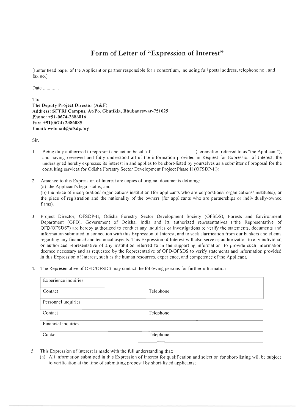## **Form of Letter of "Expression of Interest"**

[Letter head paper of the Applicant or partner responsible for a consortium, including full postal address, telephone no., and fax no.]

Date: ........................ .......... ........................ .

 $T_0$ . The Deputy Project Director (A&F) Address: SFTRI Campus, At/Po. Ghatikia, Bhubaneswar-751029 Phone: +9 1-0674-2386016 Fax: +91(0674) 2386085 Email: webmail@ofsdp.org

Sir,

- I. Being duly authorized to represent and act on behalf of ................................... (hereinafter referred to as "the Applicant"), and having reviewed and fully understood all of the information provided in Request for Expression of Interest, the undersigned hereby expresses its interest in and applies to be short-listed by yourselves as a submitter of proposal for the consulting services for Odisha Forestry Sector Development Project Phase II (OFSDP-II):
- 2. Attached to this Expression of Interest are copies of original documents defining: (a) the Applicant's legal status; and (b) the place of incorporation/ organization/ institution (for applicants who are corporations/ organizations/ institutes), or the place of registration and the nationality of the owners (for applicants who are partnerships or individually-owned firms).
- 3. Project Director, OFSDP-II, Odisha Forestry Sector Development Society (OFSDS), Forests and Environment Department (OFD), Government of Odisha, India and its authorized representatives ("the Representative of OFDIOFSDS") are hereby authorized to conduct any inquiries or investigations to verify the statements, documents and information submitted in connection with this Expression of Interest, and to seek clarification from our bankers and clients regarding any financial and technical aspects. This Expression of Interest wil l also serve as authorization to any individual or authorized representative of any institution referred to in the supporting information, to provide such information deemed necessary and as requested by the Representative of OFD/OFSDS to verify statements and information provided in this Expression of Interest, such as the human resources, experience, and competence of the Applicant.
- 4. The Representative of OFD/OFSDS may contact the following persons for further information

| Experience inquiries |           |  |  |
|----------------------|-----------|--|--|
| Contact              | Telephone |  |  |
| Personnel inquiries  |           |  |  |
| Contact              | Telephone |  |  |
| Financial inquiries  |           |  |  |
| Contact              | Telephone |  |  |

- 5. This Expression of Interest is made with the full understanding that:
	- (a) All information submitted in this Expression of Interest for qualification and selection for short-listing will be subject to verification at the time of submitting proposal by short-listed applicants;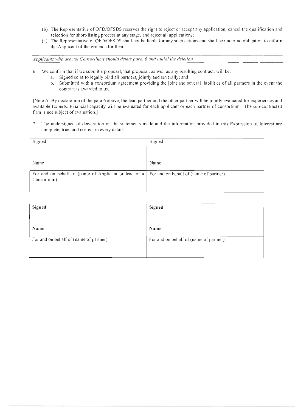- (b) The Representative ofOFD/OFSDS reserves the right to reject or accept any application, cancel the qualification and selection for short-listing process at any stage, and reject all applications;
- (c) The Representative ofOFD/OFSDS shall not be liable for any such actions and shall be under no obligation to inform the Applicant of the grounds for them.

*Applicants who are not Consortiums should delete para.* 6 *and initial the deletion.* 

- 6. We confirm that if we submit a proposal, that proposal, as well as any resulting contract, will be:
	- a. Signed so as to legally bind all partners, jointly and severally; and
	- b. Submitted with a consortium agreement providing the joint and several liabilities of all partners in the event the contract is awarded to us.

[Note A: By declaration of the para 6 above, the lead partner and the other partner will be jointly evaluated for experiences and available Experts. Financial capacity will be evaluated for each applicant or each partner of consortium. The sub-contracted firm is not subject of evaluation.]

7. The undersigned of declaration on the statements made and the information provided in this Expression of Interest are complete, true, and correct in every detail.

| Signed                                                                                             | Signed |
|----------------------------------------------------------------------------------------------------|--------|
|                                                                                                    |        |
|                                                                                                    |        |
| Name                                                                                               | Name   |
| For and on behalf of (name of Applicant or lead of $a \mid$ For and on behalf of (name of partner) |        |
| Consortium)                                                                                        |        |
|                                                                                                    |        |

| Signed                                 | Signed                                 |
|----------------------------------------|----------------------------------------|
|                                        |                                        |
|                                        |                                        |
| Name                                   | Name                                   |
|                                        |                                        |
| For and on behalf of (name of partner) | For and on behalf of (name of partner) |
|                                        |                                        |
|                                        |                                        |
|                                        |                                        |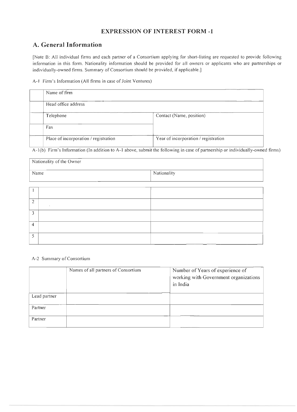#### **A. General Information**

[Note B: All individual firms and each partner of a Consortium applying for short-listing are requested to provide following information in this form. Nationality information should be provided for all owners or applicants who are partnerships or individually-owned firms. Summary of Consortium should be provided, if applicable.]

A-I Firm's Information (All firms in case of Joint Ventures)

| Name of firm                          |                                      |
|---------------------------------------|--------------------------------------|
| Head office address                   |                                      |
| Telephone                             | Contact (Name, position)             |
| Fax                                   |                                      |
| Place of incorporation / registration | Year of incorporation / registration |

 $\overline{A-1(b)}$  Firm's Information (In addition to A-1 above, submit the following in case of partnership or individually-owned firms)

| Nationality of the Owner |         |             |  |  |
|--------------------------|---------|-------------|--|--|
| Name                     |         | Nationality |  |  |
|                          |         |             |  |  |
|                          |         |             |  |  |
| $\overline{2}$           | $\cdot$ |             |  |  |
| 3                        |         |             |  |  |
| $\overline{4}$           |         |             |  |  |
| 5                        |         |             |  |  |

#### A-2 Summary of Consortium

|              | Names of all partners of Consortium | Number of Years of experience of<br>working with Government organizations<br>in India |
|--------------|-------------------------------------|---------------------------------------------------------------------------------------|
| Lead partner |                                     |                                                                                       |
| Partner      |                                     |                                                                                       |
| Partner      |                                     |                                                                                       |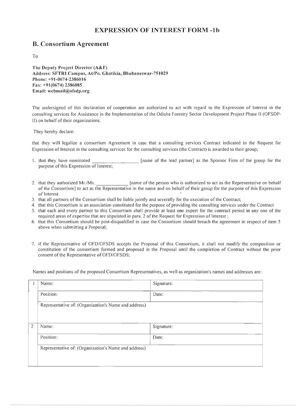#### **B. Consortium Agreement**

To

The Deputy Project Director (A&F) Address: SFTRI Campus, At/Po. Ghatikia, Bhubaneswar-75 I029 Phone: +91-0674-2386016 Fax: +9 1(0674) 2386085 Email: webmail@ofsdp.org

The undersigned of this declaration of cooperation are authorized to act with regard to the Expression of Interest in the consulting services for Assistance in the Implementation of the Odisha Forestry Sector Development Project Phase 11 (OFSDP-11) on behalf of their organizations.

They hereby declare:

that they will legalize a consortium Agreement in case that a consulting services Contract indicated in the Request for Expression of Interest in the consulting services for the consulting services (the Contract) is awarded to their group;

- 1. that they have nominated  $\qquad \qquad$  [name of the lead partner] as the Sponsor Firm of the group for the purpose of this Expression of Interest;
- 2. that they authorized Mr./Ms. [name of the person who is authorized to act as the Representative on behalf of the Consortium] to act as the Representative in the name and on behalf of their group for the purpose of this Expression of Interest.
- 3. that all partners of the Consortium shall be liable jointly and severally for the execution of the Contract;
- 4. that this Consortium is an association constituted for the purpose of providing the consulting services under the Contract
- 5. that each and every partner to this Consortium shall provide at least one expert for the contract period in anyone of the required areas of expertise that are stipulated in para. 2 of the Request for Expression of Interest;
- 6. that this Consortium should be post-disqualified in case the Consortium should breach the agreement in respect of item 5 above when submitting a Proposal;
- 7. if the Representative of OFD/OFSDS accepts the Proposal of this Consortium, it shall not modify the composition or constitution of the consortium formed and proposed in the Proposal until the completion of Contract without the prior consent of the Representative of OFD/OFSDS;

Names and positions of the proposed Consortium Representatives, as well as organization's names and addresses are:

|                                                      | Name:                                                | Signature: |  |
|------------------------------------------------------|------------------------------------------------------|------------|--|
|                                                      | Position:                                            | Date:      |  |
|                                                      | Representative of: (Organization's Name and address) |            |  |
| $\overline{2}$                                       | Name:                                                | Signature: |  |
|                                                      | Position:                                            | Date:      |  |
| Representative of: (Organization's Name and address) |                                                      |            |  |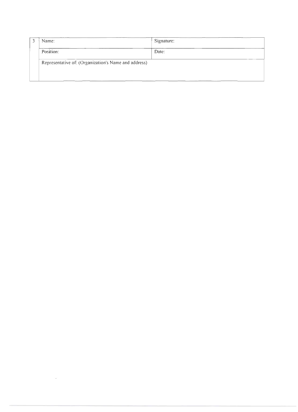| $\hat{ }$ | Name:                                                | Signature: |
|-----------|------------------------------------------------------|------------|
|           | Position:                                            | Date:      |
|           | Representative of: (Organization's Name and address) |            |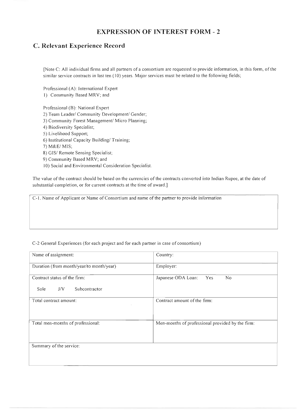#### **C. Relevant Experience Record**

[Note C: All individual firms and all partners of a consortium are requested to provide information, in this form, of the similar service contracts in last ten (10) years. Major services must be related to the following fields;

Professional (A): International Expert I) Community Based MRV; and

Professional (B): National Expert 2) Team Leader/ Community Development/ Gender; 3) Community Forest Management/ Micro Planning; 4) Biodiversity Specialist; 5) Livelihood Support; 6) Institutional Capacity Building/ Training; 7) M&E/ MIS; 8) GIS/ Remote Sensing Specialist; 9) Community Based MRV; and 10) Social and Environmental Consideration Specialist.

The value of the contract should be based on the currencies of the contracts converted into Indian Rupee, at the date of substantial completion, or for current contracts at the time of award.]

C-l. Name of Applicant or Name of Consortium and name of the partner to provide information

#### C-2 General Experiences (for each project and for each partner in case of consortium)

| Name of assignment:                      | Country:                                         |
|------------------------------------------|--------------------------------------------------|
| Duration (from month/year/to month/year) | Employer:                                        |
| Contract status of the firm:             | Japanese ODA Loan:<br>Yes<br>No                  |
| J/V<br>Subcontractor<br>Sole             |                                                  |
| Total contract amount:                   | Contract amount of the firm:                     |
| Total men-months of professional:        | Men-months of professional provided by the firm: |
| Summary of the service:                  |                                                  |
|                                          |                                                  |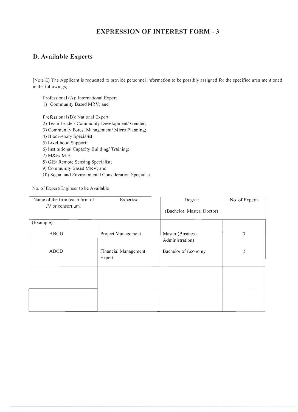#### **D. Available Experts**

[Note E] The Applicant is requested to provide personnel information to be possibly assigned for the specified area mentioned in the followings;

Professional (A): International Expert

I) Community Based MRV; and

Professional (B): National Expert

- 2) Team Leader/ Community Development/ Gender;
- 3) Community Forest Management/ Micro Planning;
- 4) Biodiversity Specialist;
- 5) Livelihood Support;
- 6) Institutional Capacity Building/ Training;
- 7) M&E/ MIS;
- 8) GIS/ Remote Sensing Specialist;
- 9) Community Based MRV; and
- 10) Social and Environmental Consideration Specialist.

No. of Expert/Engineer to be Available

| Name of the firm (each firm of<br>JV or consortium) | Expertise<br>Degree            |                            | No. of Experts |
|-----------------------------------------------------|--------------------------------|----------------------------|----------------|
|                                                     |                                | (Bachelor, Master, Doctor) |                |
| (Example)                                           |                                |                            |                |
| ABCD                                                | Project Management             |                            | 3              |
| <b>ABCD</b>                                         | Financial Management<br>Expert | Bachelor of Economy        | $\overline{2}$ |
|                                                     |                                |                            |                |
|                                                     |                                |                            |                |